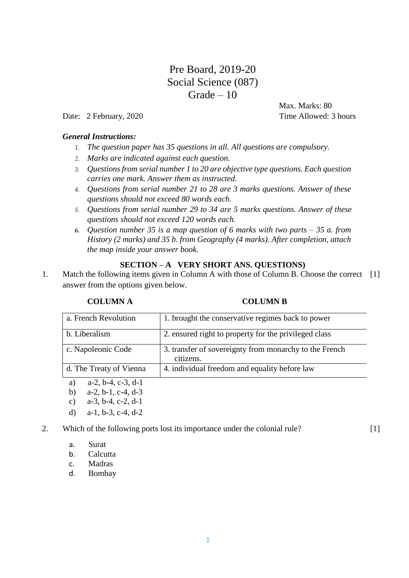# Pre Board, 2019-20 Social Science (087)  $Grade - 10$

Date: 2 February, 2020 Time Allowed: 3 hours

Max. Marks: 80

 $[1]$ 

# *General Instructions:*

- *1. The question paper has 35 questions in all. All questions are compulsory.*
- *2. Marks are indicated against each question.*
- *3. Questions from serial number 1 to 20 are objective type questions. Each question carries one mark. Answer them as instructed.*
- *4. Questions from serial number 21 to 28 are 3 marks questions. Answer of these questions should not exceed 80 words each.*
- *5. Questions from serial number 29 to 34 are 5 marks questions. Answer of these questions should not exceed 120 words each.*
- *6. Question number 35 is a map question of 6 marks with two parts – 35 a. from History (2 marks) and 35 b. from Geography (4 marks). After completion, attach the map inside your answer book.*

# **SECTION – A VERY SHORT ANS. QUESTIONS)**

1. Match the following items given in Column A with those of Column B. Choose the correct [1] answer from the options given below.

# **COLUMN A COLUMN B**

| a. French Revolution    | 1. brought the conservative regimes back to power                   |
|-------------------------|---------------------------------------------------------------------|
| b. Liberalism           | 2. ensured right to property for the privileged class               |
| c. Napoleonic Code      | 3. transfer of sovereignty from monarchy to the French<br>citizens. |
| d. The Treaty of Vienna | 4. individual freedom and equality before law                       |

- a) a-2, b-4, c-3, d-1
- b) a-2, b-1, c-4, d-3
- c) a-3, b-4, c-2, d-1
- d) a-1, b-3, c-4, d-2

# 2. Which of the following ports lost its importance under the colonial rule?

- a. Surat
- b. Calcutta
- c. Madras
- d. Bombay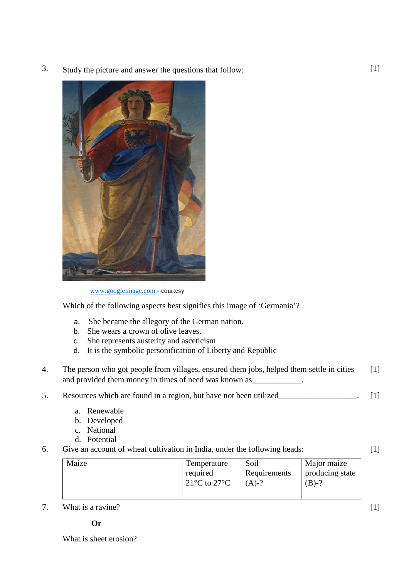3. Study the picture and answer the questions that follow:



[www.googleimage.com](http://www.googleimage.com/) - courtesy

Which of the following aspects best signifies this image of 'Germania'?

- a. She became the allegory of the German nation.
- b. She wears a crown of olive leaves.
- c. She represents austerity and asceticism
- d. It is the symbolic personification of Liberty and Republic
- 4. The person who got people from villages, ensured them jobs, helped them settle in cities and provided them money in times of need was known as \_\_\_\_\_\_\_\_\_\_\_\_.  $[1]$
- 5. Resources which are found in a region, but have not been utilized [1]
	- a. Renewable
	- b. Developed
	- c. National
	- d. Potential
- 6. Give an account of wheat cultivation in India, under the following heads:

 $[1]$ 

| Maize | Temperature                            | Soil         | Major maize     |
|-------|----------------------------------------|--------------|-----------------|
|       | required                               | Requirements | producing state |
|       | 21 <sup>o</sup> C to 27 <sup>o</sup> C | $(A)-?$      | $(B)-?$         |

7. What is a ravine?

What is sheet erosion?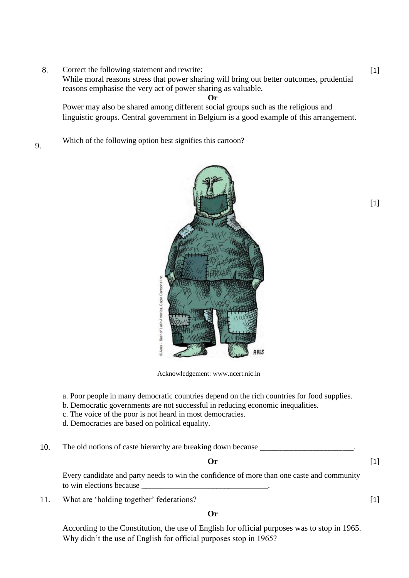8. Correct the following statement and rewrite:

While moral reasons stress that power sharing will bring out better outcomes, prudential reasons emphasise the very act of power sharing as valuable.

**Or**

Power may also be shared among different social groups such as the religious and linguistic groups. Central government in Belgium is a good example of this arrangement.

9. Which of the following option best signifies this cartoon?



Acknowledgement: www.ncert.nic.in

- a. Poor people in many democratic countries depend on the rich countries for food supplies.
- b. Democratic governments are not successful in reducing economic inequalities.
- c. The voice of the poor is not heard in most democracies.
- d. Democracies are based on political equality.
- 10. The old notions of caste hierarchy are breaking down because

**Or**

 $[1]$ 

 $[1]$ 

Every candidate and party needs to win the confidence of more than one caste and community to win elections because

11. What are 'holding together' federations?

**Or**

According to the Constitution, the use of English for official purposes was to stop in 1965. Why didn't the use of English for official purposes stop in 1965?

# $[1]$

[1]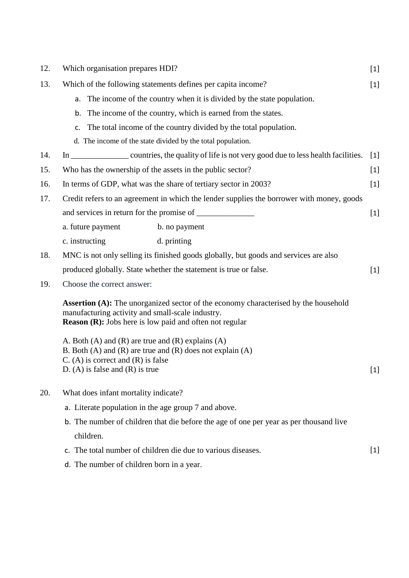| 12. | Which organisation prepares HDI?                                                                                                                                                                                 |       |  |
|-----|------------------------------------------------------------------------------------------------------------------------------------------------------------------------------------------------------------------|-------|--|
| 13. | Which of the following statements defines per capita income?                                                                                                                                                     | $[1]$ |  |
|     | The income of the country when it is divided by the state population.<br>a.                                                                                                                                      |       |  |
|     | The income of the country, which is earned from the states.<br>b.                                                                                                                                                |       |  |
|     | The total income of the country divided by the total population.<br>c.                                                                                                                                           |       |  |
|     | d. The income of the state divided by the total population.                                                                                                                                                      |       |  |
| 14. |                                                                                                                                                                                                                  | $[1]$ |  |
| 15. | Who has the ownership of the assets in the public sector?<br>$[1]$                                                                                                                                               |       |  |
| 16. | In terms of GDP, what was the share of tertiary sector in 2003?                                                                                                                                                  | $[1]$ |  |
| 17. | Credit refers to an agreement in which the lender supplies the borrower with money, goods                                                                                                                        |       |  |
|     |                                                                                                                                                                                                                  | $[1]$ |  |
|     | a. future payment<br>b. no payment                                                                                                                                                                               |       |  |
|     | d. printing<br>c. instructing                                                                                                                                                                                    |       |  |
| 18. | MNC is not only selling its finished goods globally, but goods and services are also                                                                                                                             |       |  |
|     | produced globally. State whether the statement is true or false.                                                                                                                                                 | $[1]$ |  |
| 19. | Choose the correct answer:                                                                                                                                                                                       |       |  |
|     | <b>Assertion (A):</b> The unorganized sector of the economy characterised by the household<br>manufacturing activity and small-scale industry.<br><b>Reason (R):</b> Jobs here is low paid and often not regular |       |  |
|     | A. Both (A) and (R) are true and (R) explains (A)<br>B. Both $(A)$ and $(R)$ are true and $(R)$ does not explain $(A)$<br>$C. (A)$ is correct and $(R)$ is false<br>D. (A) is false and $(R)$ is true            | $[1]$ |  |
| 20. | What does infant mortality indicate?                                                                                                                                                                             |       |  |
|     | a. Literate population in the age group 7 and above.                                                                                                                                                             |       |  |
|     | b. The number of children that die before the age of one per year as per thousand live                                                                                                                           |       |  |
|     | children.                                                                                                                                                                                                        |       |  |
|     | c. The total number of children die due to various diseases.                                                                                                                                                     | $[1]$ |  |
|     | d. The number of children born in a year.                                                                                                                                                                        |       |  |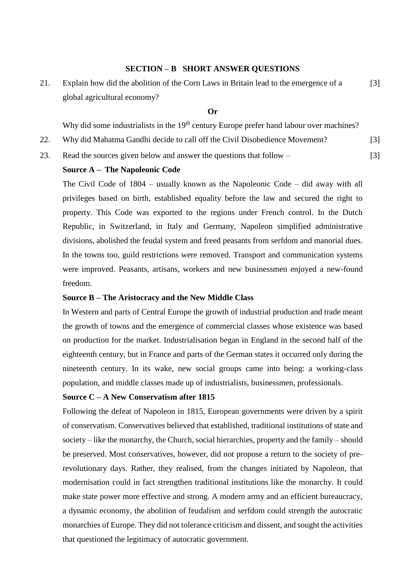# **SECTION – B SHORT ANSWER QUESTIONS**

21. Explain how did the abolition of the Corn Laws in Britain lead to the emergence of a global agricultural economy? [3]

# **Or**

Why did some industrialists in the 19<sup>th</sup> century Europe prefer hand labour over machines?

[3]

- 22. Why did Mahatma Gandhi decide to call off the Civil Disobedience Movement? [3]
- 23. Read the sources given below and answer the questions that follow –

### **Source A – The Napoleonic Code**

The Civil Code of 1804 – usually known as the Napoleonic Code – did away with all privileges based on birth, established equality before the law and secured the right to property. This Code was exported to the regions under French control. In the Dutch Republic, in Switzerland, in Italy and Germany, Napoleon simplified administrative divisions, abolished the feudal system and freed peasants from serfdom and manorial dues. In the towns too, guild restrictions were removed. Transport and communication systems were improved. Peasants, artisans, workers and new businessmen enjoyed a new-found freedom.

# **Source B – The Aristocracy and the New Middle Class**

In Western and parts of Central Europe the growth of industrial production and trade meant the growth of towns and the emergence of commercial classes whose existence was based on production for the market. Industrialisation began in England in the second half of the eighteenth century, but in France and parts of the German states it occurred only during the nineteenth century. In its wake, new social groups came into being: a working-class population, and middle classes made up of industrialists, businessmen, professionals.

#### **Source C – A New Conservatism after 1815**

Following the defeat of Napoleon in 1815, European governments were driven by a spirit of conservatism. Conservatives believed that established, traditional institutions of state and society – like the monarchy, the Church, social hierarchies, property and the family – should be preserved. Most conservatives, however, did not propose a return to the society of prerevolutionary days. Rather, they realised, from the changes initiated by Napoleon, that modernisation could in fact strengthen traditional institutions like the monarchy. It could make state power more effective and strong. A modern army and an efficient bureaucracy, a dynamic economy, the abolition of feudalism and serfdom could strength the autocratic monarchies of Europe. They did not tolerance criticism and dissent, and sought the activities that questioned the legitimacy of autocratic government.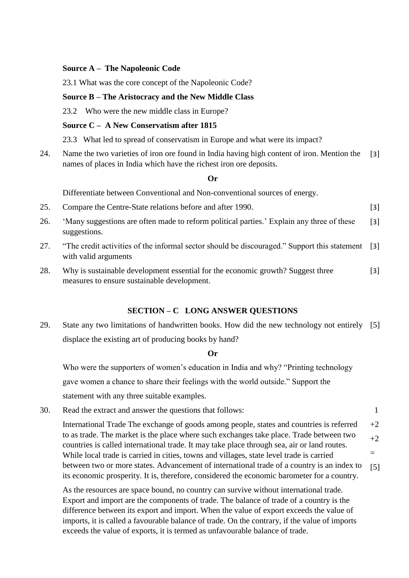# **Source A – The Napoleonic Code**

23.1 What was the core concept of the Napoleonic Code?

# **Source B – The Aristocracy and the New Middle Class**

23.2 Who were the new middle class in Europe?

# **Source C – A New Conservatism after 1815**

23.3 What led to spread of conservatism in Europe and what were its impact?

24. Name the two varieties of iron ore found in India having high content of iron. Mention the names of places in India which have the richest iron ore deposits. [3]

#### **Or**

Differentiate between Conventional and Non-conventional sources of energy.

25. Compare the Centre-State relations before and after 1990. [3]

- 26. 'Many suggestions are often made to reform political parties.' Explain any three of these suggestions. [3]
- 27. "The credit activities of the informal sector should be discouraged." Support this statement with valid arguments [3]
- 28. Why is sustainable development essential for the economic growth? Suggest three measures to ensure sustainable development. [3]

# **SECTION – C LONG ANSWER QUESTIONS**

29. State any two limitations of handwritten books. How did the new technology not entirely [5] displace the existing art of producing books by hand?

#### **Or**

Who were the supporters of women's education in India and why? "Printing technology gave women a chance to share their feelings with the world outside." Support the statement with any three suitable examples.

30. Read the extract and answer the questions that follows:

International Trade The exchange of goods among people, states and countries is referred to as trade. The market is the place where such exchanges take place. Trade between two countries is called international trade. It may take place through sea, air or land routes. While local trade is carried in cities, towns and villages, state level trade is carried between two or more states. Advancement of international trade of a country is an index to its economic prosperity. It is, therefore, considered the economic barometer for a country.  $+2$  $+2$ = [5]

1

As the resources are space bound, no country can survive without international trade. Export and import are the components of trade. The balance of trade of a country is the difference between its export and import. When the value of export exceeds the value of imports, it is called a favourable balance of trade. On the contrary, if the value of imports exceeds the value of exports, it is termed as unfavourable balance of trade.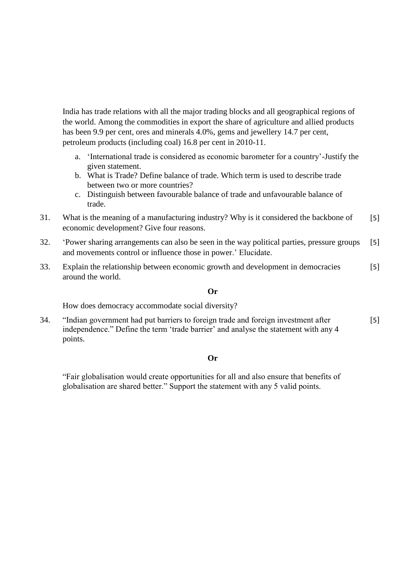India has trade relations with all the major trading blocks and all geographical regions of the world. Among the commodities in export the share of agriculture and allied products has been 9.9 per cent, ores and minerals 4.0%, gems and jewellery 14.7 per cent, petroleum products (including coal) 16.8 per cent in 2010-11.

- a. 'International trade is considered as economic barometer for a country'-Justify the given statement.
- b. What is Trade? Define balance of trade. Which term is used to describe trade between two or more countries?
- c. Distinguish between favourable balance of trade and unfavourable balance of trade.
- 31. What is the meaning of a manufacturing industry? Why is it considered the backbone of economic development? Give four reasons. [5]
- 32. 'Power sharing arrangements can also be seen in the way political parties, pressure groups and movements control or influence those in power.' Elucidate. [5]
- 33. Explain the relationship between economic growth and development in democracies around the world. [5]

#### **Or**

How does democracy accommodate social diversity?

34. "Indian government had put barriers to foreign trade and foreign investment after independence." Define the term 'trade barrier' and analyse the statement with any 4 points. [5]

#### **Or**

"Fair globalisation would create opportunities for all and also ensure that benefits of globalisation are shared better." Support the statement with any 5 valid points.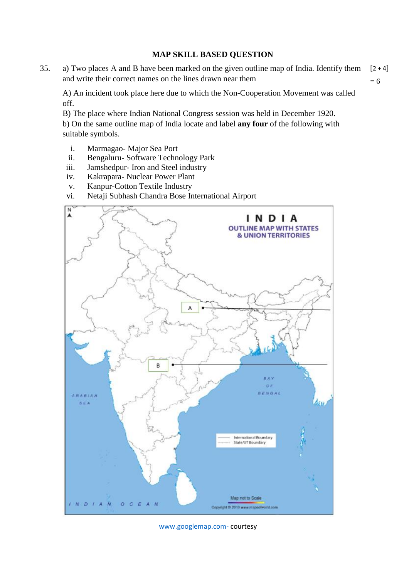# **MAP SKILL BASED QUESTION**

35. a) Two places A and B have been marked on the given outline map of India. Identify them and write their correct names on the lines drawn near them  $[2 + 4]$  $= 6$ 

A) An incident took place here due to which the Non-Cooperation Movement was called off.

B) The place where Indian National Congress session was held in December 1920.

b) On the same outline map of India locate and label **any four** of the following with suitable symbols.

- i. Marmagao- Major Sea Port
- ii. Bengaluru- Software Technology Park
- iii. Jamshedpur- Iron and Steel industry
- iv. Kakrapara- Nuclear Power Plant
- v. Kanpur-Cotton Textile Industry
- vi. Netaji Subhash Chandra Bose International Airport



[www.googlemap.com-](http://www.googlemap.com-/) courtesy